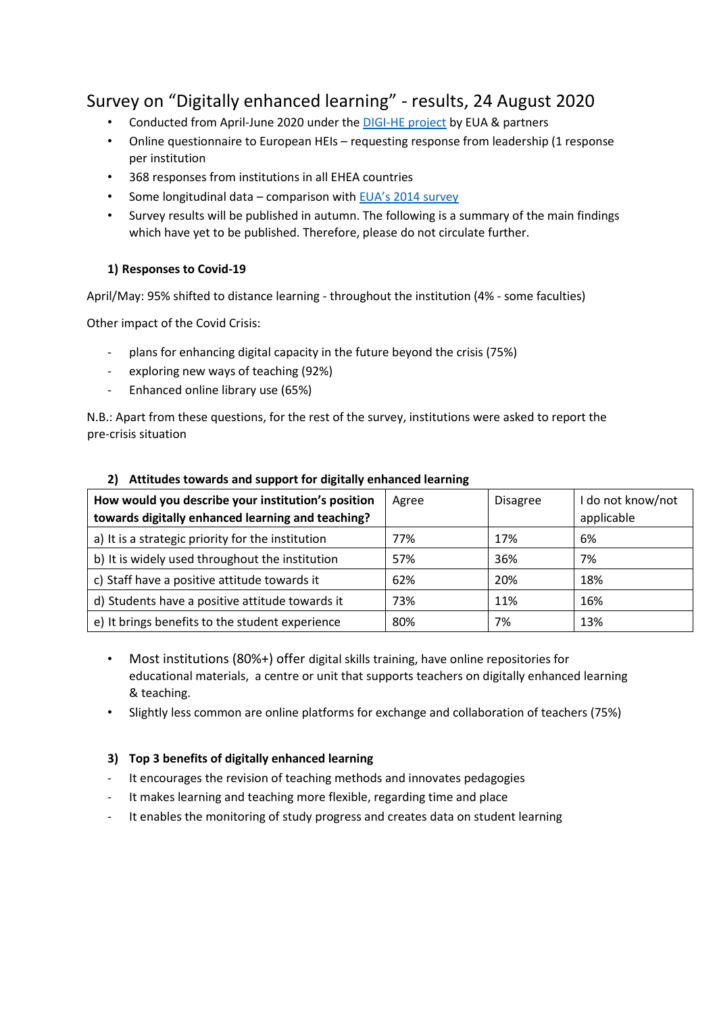# Survey on "Digitally enhanced learning" - results, 24 August 2020

- Conducted from April-June 2020 under th[e DIGI-HE project](https://eua.eu/101-projects/772-digi-he.html) by EUA & partners
- Online questionnaire to European HEIs requesting response from leadership (1 response per institution
- 368 responses from institutions in all EHEA countries
- Some longitudinal data comparison with [EUA's 2014](https://eua.eu/component/attachments/attachments.html?id=414) surve[y](https://eua.eu/component/attachments/attachments.html?id=414)
- Survey results will be published in autumn. The following is a summary of the main findings which have yet to be published. Therefore, please do not circulate further.

# **1) Responses to Covid-19**

April/May: 95% shifted to distance learning - throughout the institution (4% - some faculties)

Other impact of the Covid Crisis:

- plans for enhancing digital capacity in the future beyond the crisis (75%)
- exploring new ways of teaching (92%)
- Enhanced online library use (65%)

N.B.: Apart from these questions, for the rest of the survey, institutions were asked to report the pre-crisis situation

| How would you describe your institution's position<br>towards digitally enhanced learning and teaching? | Agree | <b>Disagree</b> | I do not know/not<br>applicable |
|---------------------------------------------------------------------------------------------------------|-------|-----------------|---------------------------------|
| a) It is a strategic priority for the institution                                                       | 77%   | 17%             | 6%                              |
| b) It is widely used throughout the institution                                                         | 57%   | 36%             | 7%                              |
| c) Staff have a positive attitude towards it                                                            | 62%   | 20%             | 18%                             |
| d) Students have a positive attitude towards it                                                         | 73%   | 11%             | 16%                             |
| e) It brings benefits to the student experience                                                         | 80%   | 7%              | 13%                             |

# **2) Attitudes towards and support for digitally enhanced learning**

- Most institutions (80%+) offer digital skills training, have online repositories for educational materials, a centre or unit that supports teachers on digitally enhanced learning & teaching.
- Slightly less common are online platforms for exchange and collaboration of teachers (75%)

# **3) Top 3 benefits of digitally enhanced learning**

- It encourages the revision of teaching methods and innovates pedagogies
- It makes learning and teaching more flexible, regarding time and place
- It enables the monitoring of study progress and creates data on student learning